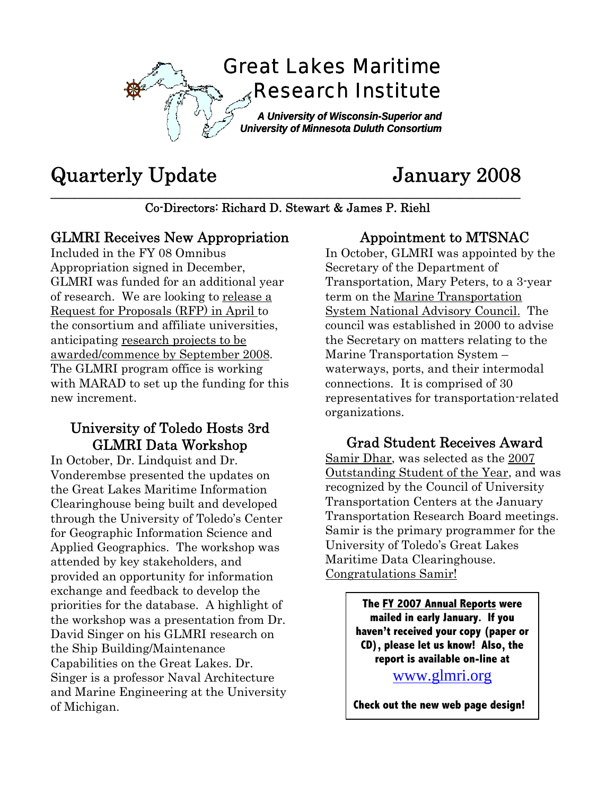

# Quarterly Update January 2008

**\_\_\_\_\_\_\_\_\_\_\_\_\_\_\_\_\_\_\_\_\_\_\_\_\_\_\_\_\_\_\_\_\_\_\_\_\_\_\_\_\_\_\_\_\_\_\_\_\_\_\_\_\_\_\_\_\_\_\_\_\_\_\_\_\_\_\_\_\_\_\_\_\_\_\_\_\_\_**  Co-Directors: Richard D. Stewart & James P. Riehl

#### GLMRI Receives New Appropriation

Included in the FY 08 Omnibus Appropriation signed in December, GLMRI was funded for an additional year of research. We are looking to release a Request for Proposals (RFP) in April to the consortium and affiliate universities, anticipating research projects to be awarded/commence by September 2008. The GLMRI program office is working with MARAD to set up the funding for this new increment.

#### University of Toledo Hosts 3rd GLMRI Data Workshop

In October, Dr. Lindquist and Dr. Vonderembse presented the updates on the Great Lakes Maritime Information Clearinghouse being built and developed through the University of Toledo's Center for Geographic Information Science and Applied Geographics. The workshop was attended by key stakeholders, and provided an opportunity for information exchange and feedback to develop the priorities for the database. A highlight of the workshop was a presentation from Dr. David Singer on his GLMRI research on the Ship Building/Maintenance Capabilities on the Great Lakes. Dr. Singer is a professor Naval Architecture and Marine Engineering at the University of Michigan.

### Appointment to MTSNAC

In October, GLMRI was appointed by the Secretary of the Department of Transportation, Mary Peters, to a 3-year term on the Marine Transportation System National Advisory Council. The council was established in 2000 to advise the Secretary on matters relating to the Marine Transportation System – waterways, ports, and their intermodal connections. It is comprised of 30 representatives for transportation-related organizations.

#### Grad Student Receives Award

Samir Dhar, was selected as the 2007 Outstanding Student of the Year, and was recognized by the Council of University Transportation Centers at the January Transportation Research Board meetings. Samir is the primary programmer for the University of Toledo's Great Lakes Maritime Data Clearinghouse. Congratulations Samir!

> **The FY 2007 Annual Reports were mailed in early January. If you haven't received your copy (paper or CD), please let us know! Also, the report is available on-line at**

[www.glmri.org](http://www.glmri.org/)

**Check out the new web page design!**